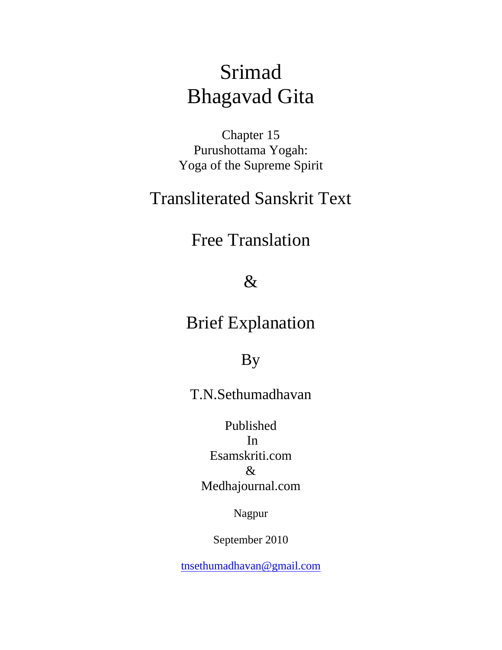# Srimad Bhagavad Gita

Chapter 15 Purushottama Yogah: Yoga of the Supreme Spirit

## Transliterated Sanskrit Text

Free Translation

### &

### Brief Explanation

### By

### T.N.Sethumadhavan

Published In Esamskriti.com & Medhajournal.com

Nagpur

September 2010

[tnsethumadhavan@gmail.com](mailto:tnsethumadhavan@gmail.com)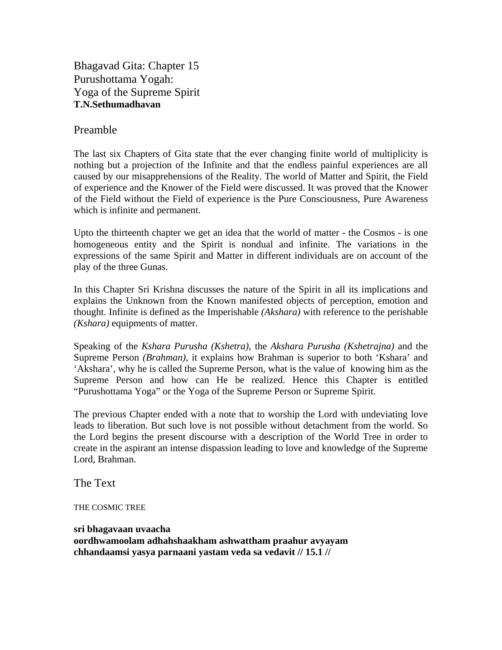Bhagavad Gita: Chapter 15 Purushottama Yogah: Yoga of the Supreme Spirit **T.N.Sethumadhavan** 

#### Preamble

The last six Chapters of Gita state that the ever changing finite world of multiplicity is nothing but a projection of the Infinite and that the endless painful experiences are all caused by our misapprehensions of the Reality. The world of Matter and Spirit, the Field of experience and the Knower of the Field were discussed. It was proved that the Knower of the Field without the Field of experience is the Pure Consciousness, Pure Awareness which is infinite and permanent.

Upto the thirteenth chapter we get an idea that the world of matter - the Cosmos - is one homogeneous entity and the Spirit is nondual and infinite. The variations in the expressions of the same Spirit and Matter in different individuals are on account of the play of the three Gunas.

In this Chapter Sri Krishna discusses the nature of the Spirit in all its implications and explains the Unknown from the Known manifested objects of perception, emotion and thought. Infinite is defined as the Imperishable *(Akshara)* with reference to the perishable *(Kshara)* equipments of matter.

Speaking of the *Kshara Purusha (Kshetra)*, the *Akshara Purusha (Kshetrajna)* and the Supreme Person *(Brahman)*, it explains how Brahman is superior to both 'Kshara' and 'Akshara', why he is called the Supreme Person, what is the value of knowing him as the Supreme Person and how can He be realized. Hence this Chapter is entitled "Purushottama Yoga" or the Yoga of the Supreme Person or Supreme Spirit.

The previous Chapter ended with a note that to worship the Lord with undeviating love leads to liberation. But such love is not possible without detachment from the world. So the Lord begins the present discourse with a description of the World Tree in order to create in the aspirant an intense dispassion leading to love and knowledge of the Supreme Lord, Brahman.

The Text

THE COSMIC TREE

**sri bhagavaan uvaacha oordhwamoolam adhahshaakham ashwattham praahur avyayam chhandaamsi yasya parnaani yastam veda sa vedavit // 15.1 //**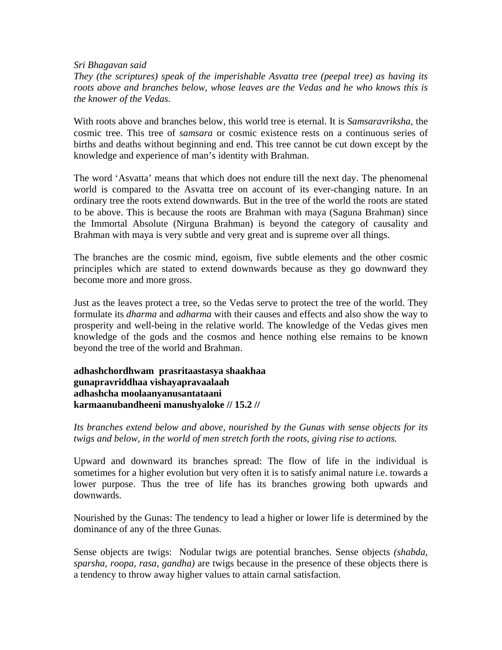#### *Sri Bhagavan said*

*They (the scriptures) speak of the imperishable Asvatta tree (peepal tree) as having its roots above and branches below, whose leaves are the Vedas and he who knows this is the knower of the Vedas.* 

With roots above and branches below, this world tree is eternal. It is *Samsaravriksha*, the cosmic tree. This tree of *samsara* or cosmic existence rests on a continuous series of births and deaths without beginning and end. This tree cannot be cut down except by the knowledge and experience of man's identity with Brahman.

The word 'Asvatta' means that which does not endure till the next day. The phenomenal world is compared to the Asvatta tree on account of its ever-changing nature. In an ordinary tree the roots extend downwards. But in the tree of the world the roots are stated to be above. This is because the roots are Brahman with maya (Saguna Brahman) since the Immortal Absolute (Nirguna Brahman) is beyond the category of causality and Brahman with maya is very subtle and very great and is supreme over all things.

The branches are the cosmic mind, egoism, five subtle elements and the other cosmic principles which are stated to extend downwards because as they go downward they become more and more gross.

Just as the leaves protect a tree, so the Vedas serve to protect the tree of the world. They formulate its *dharma* and *adharma* with their causes and effects and also show the way to prosperity and well-being in the relative world. The knowledge of the Vedas gives men knowledge of the gods and the cosmos and hence nothing else remains to be known beyond the tree of the world and Brahman.

**adhashchordhwam prasritaastasya shaakhaa gunapravriddhaa vishayapravaalaah adhashcha moolaanyanusantataani karmaanubandheeni manushyaloke // 15.2 //** 

*Its branches extend below and above, nourished by the Gunas with sense objects for its twigs and below, in the world of men stretch forth the roots, giving rise to actions.* 

Upward and downward its branches spread: The flow of life in the individual is sometimes for a higher evolution but very often it is to satisfy animal nature i.e. towards a lower purpose. Thus the tree of life has its branches growing both upwards and downwards.

Nourished by the Gunas: The tendency to lead a higher or lower life is determined by the dominance of any of the three Gunas.

Sense objects are twigs: Nodular twigs are potential branches. Sense objects *(shabda, sparsha, roopa, rasa, gandha)* are twigs because in the presence of these objects there is a tendency to throw away higher values to attain carnal satisfaction.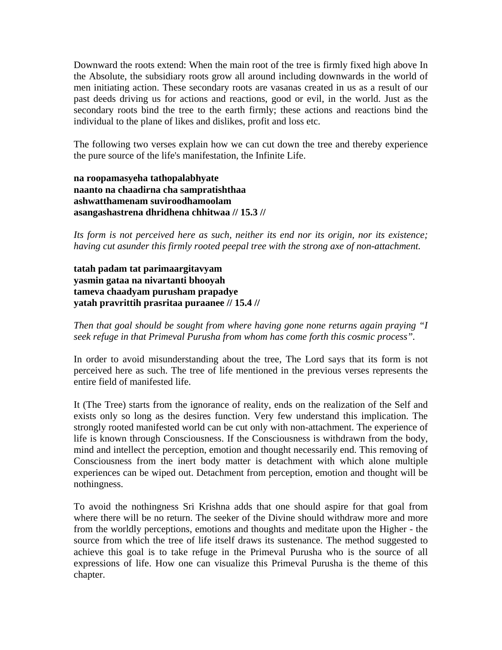Downward the roots extend: When the main root of the tree is firmly fixed high above In the Absolute, the subsidiary roots grow all around including downwards in the world of men initiating action. These secondary roots are vasanas created in us as a result of our past deeds driving us for actions and reactions, good or evil, in the world. Just as the secondary roots bind the tree to the earth firmly; these actions and reactions bind the individual to the plane of likes and dislikes, profit and loss etc.

The following two verses explain how we can cut down the tree and thereby experience the pure source of the life's manifestation, the Infinite Life.

**na roopamasyeha tathopalabhyate naanto na chaadirna cha sampratishthaa ashwatthamenam suviroodhamoolam asangashastrena dhridhena chhitwaa // 15.3 //** 

*Its form is not perceived here as such, neither its end nor its origin, nor its existence; having cut asunder this firmly rooted peepal tree with the strong axe of non-attachment.* 

**tatah padam tat parimaargitavyam yasmin gataa na nivartanti bhooyah tameva chaadyam purusham prapadye yatah pravrittih prasritaa puraanee // 15.4 //** 

*Then that goal should be sought from where having gone none returns again praying "I seek refuge in that Primeval Purusha from whom has come forth this cosmic process".* 

In order to avoid misunderstanding about the tree, The Lord says that its form is not perceived here as such. The tree of life mentioned in the previous verses represents the entire field of manifested life.

It (The Tree) starts from the ignorance of reality, ends on the realization of the Self and exists only so long as the desires function. Very few understand this implication. The strongly rooted manifested world can be cut only with non-attachment. The experience of life is known through Consciousness. If the Consciousness is withdrawn from the body, mind and intellect the perception, emotion and thought necessarily end. This removing of Consciousness from the inert body matter is detachment with which alone multiple experiences can be wiped out. Detachment from perception, emotion and thought will be nothingness.

To avoid the nothingness Sri Krishna adds that one should aspire for that goal from where there will be no return. The seeker of the Divine should withdraw more and more from the worldly perceptions, emotions and thoughts and meditate upon the Higher - the source from which the tree of life itself draws its sustenance. The method suggested to achieve this goal is to take refuge in the Primeval Purusha who is the source of all expressions of life. How one can visualize this Primeval Purusha is the theme of this chapter.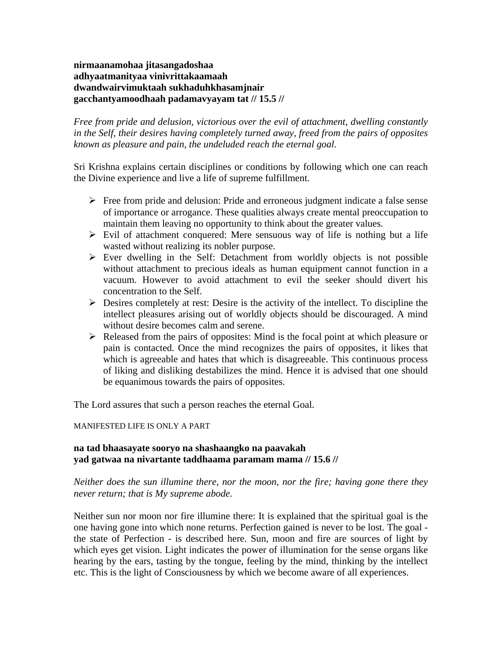**nirmaanamohaa jitasangadoshaa adhyaatmanityaa vinivrittakaamaah dwandwairvimuktaah sukhaduhkhasamjnair gacchantyamoodhaah padamavyayam tat // 15.5 //** 

*Free from pride and delusion, victorious over the evil of attachment, dwelling constantly in the Self, their desires having completely turned away, freed from the pairs of opposites known as pleasure and pain, the undeluded reach the eternal goal.* 

Sri Krishna explains certain disciplines or conditions by following which one can reach the Divine experience and live a life of supreme fulfillment.

- $\triangleright$  Free from pride and delusion: Pride and erroneous judgment indicate a false sense of importance or arrogance. These qualities always create mental preoccupation to maintain them leaving no opportunity to think about the greater values.
- $\triangleright$  Evil of attachment conquered: Mere sensuous way of life is nothing but a life wasted without realizing its nobler purpose.
- $\triangleright$  Ever dwelling in the Self: Detachment from worldly objects is not possible without attachment to precious ideals as human equipment cannot function in a vacuum. However to avoid attachment to evil the seeker should divert his concentration to the Self.
- $\triangleright$  Desires completely at rest: Desire is the activity of the intellect. To discipline the intellect pleasures arising out of worldly objects should be discouraged. A mind without desire becomes calm and serene.
- $\triangleright$  Released from the pairs of opposites: Mind is the focal point at which pleasure or pain is contacted. Once the mind recognizes the pairs of opposites, it likes that which is agreeable and hates that which is disagreeable. This continuous process of liking and disliking destabilizes the mind. Hence it is advised that one should be equanimous towards the pairs of opposites.

The Lord assures that such a person reaches the eternal Goal.

#### MANIFESTED LIFE IS ONLY A PART

#### **na tad bhaasayate sooryo na shashaangko na paavakah yad gatwaa na nivartante taddhaama paramam mama // 15.6 //**

#### *Neither does the sun illumine there, nor the moon, nor the fire; having gone there they never return; that is My supreme abode.*

Neither sun nor moon nor fire illumine there: It is explained that the spiritual goal is the one having gone into which none returns. Perfection gained is never to be lost. The goal the state of Perfection - is described here. Sun, moon and fire are sources of light by which eyes get vision. Light indicates the power of illumination for the sense organs like hearing by the ears, tasting by the tongue, feeling by the mind, thinking by the intellect etc. This is the light of Consciousness by which we become aware of all experiences.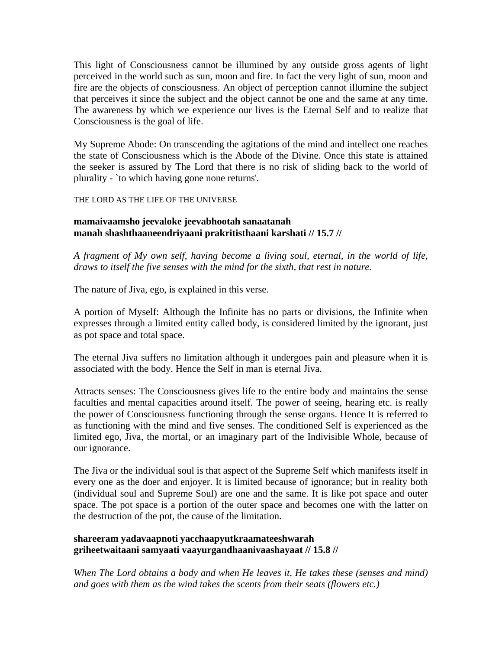This light of Consciousness cannot be illumined by any outside gross agents of light perceived in the world such as sun, moon and fire. In fact the very light of sun, moon and fire are the objects of consciousness. An object of perception cannot illumine the subject that perceives it since the subject and the object cannot be one and the same at any time. The awareness by which we experience our lives is the Eternal Self and to realize that Consciousness is the goal of life.

My Supreme Abode: On transcending the agitations of the mind and intellect one reaches the state of Consciousness which is the Abode of the Divine. Once this state is attained the seeker is assured by The Lord that there is no risk of sliding back to the world of plurality - `to which having gone none returns'.

THE LORD AS THE LIFE OF THE UNIVERSE

#### **mamaivaamsho jeevaloke jeevabhootah sanaatanah manah shashthaaneendriyaani prakritisthaani karshati // 15.7 //**

*A fragment of My own self, having become a living soul, eternal, in the world of life, draws to itself the five senses with the mind for the sixth, that rest in nature.* 

The nature of Jiva, ego, is explained in this verse.

A portion of Myself: Although the Infinite has no parts or divisions, the Infinite when expresses through a limited entity called body, is considered limited by the ignorant, just as pot space and total space.

The eternal Jiva suffers no limitation although it undergoes pain and pleasure when it is associated with the body. Hence the Self in man is eternal Jiva.

Attracts senses: The Consciousness gives life to the entire body and maintains the sense faculties and mental capacities around itself. The power of seeing, hearing etc. is really the power of Consciousness functioning through the sense organs. Hence It is referred to as functioning with the mind and five senses. The conditioned Self is experienced as the limited ego, Jiva, the mortal, or an imaginary part of the Indivisible Whole, because of our ignorance.

The Jiva or the individual soul is that aspect of the Supreme Self which manifests itself in every one as the doer and enjoyer. It is limited because of ignorance; but in reality both (individual soul and Supreme Soul) are one and the same. It is like pot space and outer space. The pot space is a portion of the outer space and becomes one with the latter on the destruction of the pot, the cause of the limitation.

#### **shareeram yadavaapnoti yacchaapyutkraamateeshwarah griheetwaitaani samyaati vaayurgandhaanivaashayaat // 15.8 //**

*When The Lord obtains a body and when He leaves it, He takes these (senses and mind) and goes with them as the wind takes the scents from their seats (flowers etc.)*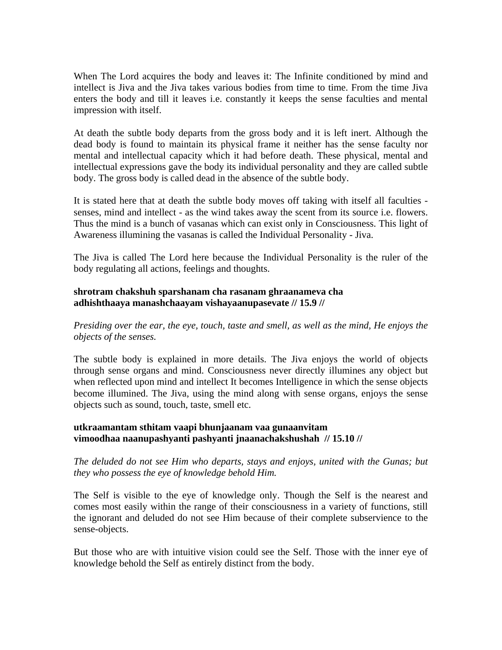When The Lord acquires the body and leaves it: The Infinite conditioned by mind and intellect is Jiva and the Jiva takes various bodies from time to time. From the time Jiva enters the body and till it leaves i.e. constantly it keeps the sense faculties and mental impression with itself.

At death the subtle body departs from the gross body and it is left inert. Although the dead body is found to maintain its physical frame it neither has the sense faculty nor mental and intellectual capacity which it had before death. These physical, mental and intellectual expressions gave the body its individual personality and they are called subtle body. The gross body is called dead in the absence of the subtle body.

It is stated here that at death the subtle body moves off taking with itself all faculties senses, mind and intellect - as the wind takes away the scent from its source i.e. flowers. Thus the mind is a bunch of vasanas which can exist only in Consciousness. This light of Awareness illumining the vasanas is called the Individual Personality - Jiva.

The Jiva is called The Lord here because the Individual Personality is the ruler of the body regulating all actions, feelings and thoughts.

#### **shrotram chakshuh sparshanam cha rasanam ghraanameva cha adhishthaaya manashchaayam vishayaanupasevate // 15.9 //**

*Presiding over the ear, the eye, touch, taste and smell, as well as the mind, He enjoys the objects of the senses.* 

The subtle body is explained in more details. The Jiva enjoys the world of objects through sense organs and mind. Consciousness never directly illumines any object but when reflected upon mind and intellect It becomes Intelligence in which the sense objects become illumined. The Jiva, using the mind along with sense organs, enjoys the sense objects such as sound, touch, taste, smell etc.

#### **utkraamantam sthitam vaapi bhunjaanam vaa gunaanvitam vimoodhaa naanupashyanti pashyanti jnaanachakshushah // 15.10 //**

*The deluded do not see Him who departs, stays and enjoys, united with the Gunas; but they who possess the eye of knowledge behold Him.* 

The Self is visible to the eye of knowledge only. Though the Self is the nearest and comes most easily within the range of their consciousness in a variety of functions, still the ignorant and deluded do not see Him because of their complete subservience to the sense-objects.

But those who are with intuitive vision could see the Self. Those with the inner eye of knowledge behold the Self as entirely distinct from the body.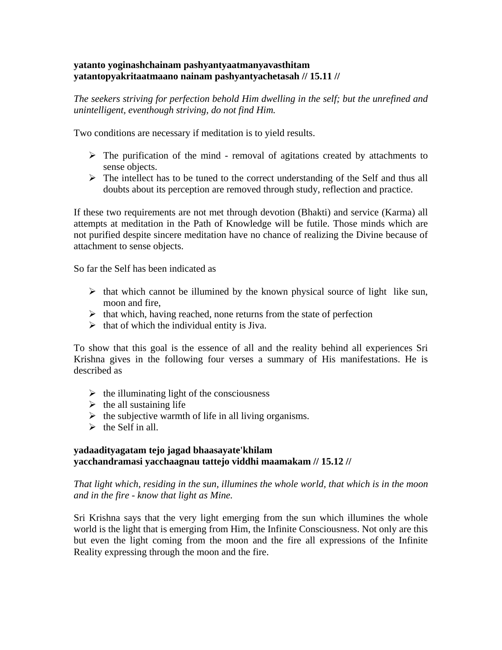#### **yatanto yoginashchainam pashyantyaatmanyavasthitam yatantopyakritaatmaano nainam pashyantyachetasah // 15.11 //**

*The seekers striving for perfection behold Him dwelling in the self; but the unrefined and unintelligent, eventhough striving, do not find Him.* 

Two conditions are necessary if meditation is to yield results.

- $\triangleright$  The purification of the mind removal of agitations created by attachments to sense objects.
- $\triangleright$  The intellect has to be tuned to the correct understanding of the Self and thus all doubts about its perception are removed through study, reflection and practice.

If these two requirements are not met through devotion (Bhakti) and service (Karma) all attempts at meditation in the Path of Knowledge will be futile. Those minds which are not purified despite sincere meditation have no chance of realizing the Divine because of attachment to sense objects.

So far the Self has been indicated as

- $\triangleright$  that which cannot be illumined by the known physical source of light like sun, moon and fire,
- $\triangleright$  that which, having reached, none returns from the state of perfection
- $\triangleright$  that of which the individual entity is Jiva.

To show that this goal is the essence of all and the reality behind all experiences Sri Krishna gives in the following four verses a summary of His manifestations. He is described as

- $\triangleright$  the illuminating light of the consciousness
- $\triangleright$  the all sustaining life
- $\triangleright$  the subjective warmth of life in all living organisms.
- $\triangleright$  the Self in all.

#### **yadaadityagatam tejo jagad bhaasayate'khilam yacchandramasi yacchaagnau tattejo viddhi maamakam // 15.12 //**

*That light which, residing in the sun, illumines the whole world, that which is in the moon and in the fire - know that light as Mine.* 

Sri Krishna says that the very light emerging from the sun which illumines the whole world is the light that is emerging from Him, the Infinite Consciousness. Not only are this but even the light coming from the moon and the fire all expressions of the Infinite Reality expressing through the moon and the fire.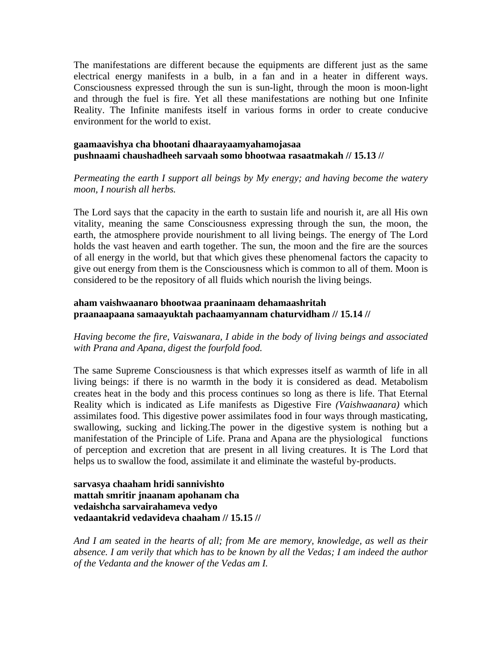The manifestations are different because the equipments are different just as the same electrical energy manifests in a bulb, in a fan and in a heater in different ways. Consciousness expressed through the sun is sun-light, through the moon is moon-light and through the fuel is fire. Yet all these manifestations are nothing but one Infinite Reality. The Infinite manifests itself in various forms in order to create conducive environment for the world to exist.

#### **gaamaavishya cha bhootani dhaarayaamyahamojasaa pushnaami chaushadheeh sarvaah somo bhootwaa rasaatmakah // 15.13 //**

#### *Permeating the earth I support all beings by My energy; and having become the watery moon, I nourish all herbs.*

The Lord says that the capacity in the earth to sustain life and nourish it, are all His own vitality, meaning the same Consciousness expressing through the sun, the moon, the earth, the atmosphere provide nourishment to all living beings. The energy of The Lord holds the vast heaven and earth together. The sun, the moon and the fire are the sources of all energy in the world, but that which gives these phenomenal factors the capacity to give out energy from them is the Consciousness which is common to all of them. Moon is considered to be the repository of all fluids which nourish the living beings.

#### **aham vaishwaanaro bhootwaa praaninaam dehamaashritah praanaapaana samaayuktah pachaamyannam chaturvidham // 15.14 //**

*Having become the fire, Vaiswanara, I abide in the body of living beings and associated with Prana and Apana, digest the fourfold food.* 

The same Supreme Consciousness is that which expresses itself as warmth of life in all living beings: if there is no warmth in the body it is considered as dead. Metabolism creates heat in the body and this process continues so long as there is life. That Eternal Reality which is indicated as Life manifests as Digestive Fire *(Vaishwaanara)* which assimilates food. This digestive power assimilates food in four ways through masticating, swallowing, sucking and licking.The power in the digestive system is nothing but a manifestation of the Principle of Life. Prana and Apana are the physiological functions of perception and excretion that are present in all living creatures. It is The Lord that helps us to swallow the food, assimilate it and eliminate the wasteful by-products.

#### **sarvasya chaaham hridi sannivishto mattah smritir jnaanam apohanam cha vedaishcha sarvairahameva vedyo vedaantakrid vedavideva chaaham // 15.15 //**

*And I am seated in the hearts of all; from Me are memory, knowledge, as well as their absence. I am verily that which has to be known by all the Vedas; I am indeed the author of the Vedanta and the knower of the Vedas am I.*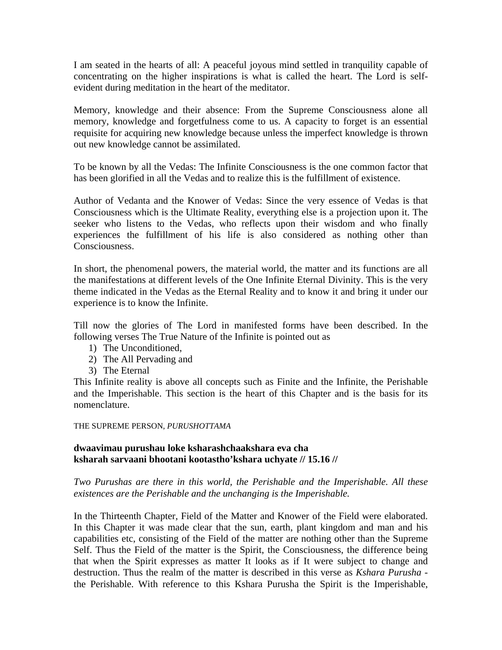I am seated in the hearts of all: A peaceful joyous mind settled in tranquility capable of concentrating on the higher inspirations is what is called the heart. The Lord is selfevident during meditation in the heart of the meditator.

Memory, knowledge and their absence: From the Supreme Consciousness alone all memory, knowledge and forgetfulness come to us. A capacity to forget is an essential requisite for acquiring new knowledge because unless the imperfect knowledge is thrown out new knowledge cannot be assimilated.

To be known by all the Vedas: The Infinite Consciousness is the one common factor that has been glorified in all the Vedas and to realize this is the fulfillment of existence.

Author of Vedanta and the Knower of Vedas: Since the very essence of Vedas is that Consciousness which is the Ultimate Reality, everything else is a projection upon it. The seeker who listens to the Vedas, who reflects upon their wisdom and who finally experiences the fulfillment of his life is also considered as nothing other than Consciousness.

In short, the phenomenal powers, the material world, the matter and its functions are all the manifestations at different levels of the One Infinite Eternal Divinity. This is the very theme indicated in the Vedas as the Eternal Reality and to know it and bring it under our experience is to know the Infinite.

Till now the glories of The Lord in manifested forms have been described. In the following verses The True Nature of the Infinite is pointed out as

- 1) The Unconditioned,
- 2) The All Pervading and
- 3) The Eternal

This Infinite reality is above all concepts such as Finite and the Infinite, the Perishable and the Imperishable. This section is the heart of this Chapter and is the basis for its nomenclature.

#### THE SUPREME PERSON, *PURUSHOTTAMA*

#### **dwaavimau purushau loke ksharashchaakshara eva cha ksharah sarvaani bhootani kootastho'kshara uchyate // 15.16 //**

*Two Purushas are there in this world, the Perishable and the Imperishable. All these existences are the Perishable and the unchanging is the Imperishable.* 

In the Thirteenth Chapter, Field of the Matter and Knower of the Field were elaborated. In this Chapter it was made clear that the sun, earth, plant kingdom and man and his capabilities etc, consisting of the Field of the matter are nothing other than the Supreme Self. Thus the Field of the matter is the Spirit, the Consciousness, the difference being that when the Spirit expresses as matter It looks as if It were subject to change and destruction. Thus the realm of the matter is described in this verse as *Kshara Purusha* the Perishable. With reference to this Kshara Purusha the Spirit is the Imperishable,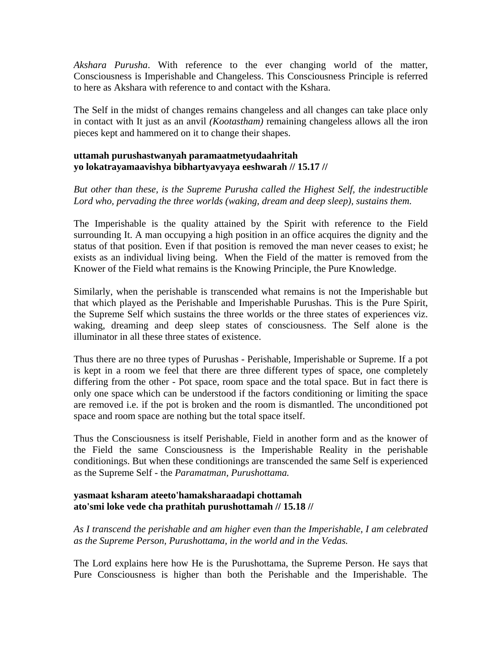*Akshara Purusha*. With reference to the ever changing world of the matter, Consciousness is Imperishable and Changeless. This Consciousness Principle is referred to here as Akshara with reference to and contact with the Kshara.

The Self in the midst of changes remains changeless and all changes can take place only in contact with It just as an anvil *(Kootastham)* remaining changeless allows all the iron pieces kept and hammered on it to change their shapes.

#### **uttamah purushastwanyah paramaatmetyudaahritah yo lokatrayamaavishya bibhartyavyaya eeshwarah // 15.17 //**

*But other than these, is the Supreme Purusha called the Highest Self, the indestructible*  Lord who, pervading the three worlds (waking, dream and deep sleep), sustains them.

The Imperishable is the quality attained by the Spirit with reference to the Field surrounding It. A man occupying a high position in an office acquires the dignity and the status of that position. Even if that position is removed the man never ceases to exist; he exists as an individual living being. When the Field of the matter is removed from the Knower of the Field what remains is the Knowing Principle, the Pure Knowledge.

Similarly, when the perishable is transcended what remains is not the Imperishable but that which played as the Perishable and Imperishable Purushas. This is the Pure Spirit, the Supreme Self which sustains the three worlds or the three states of experiences viz. waking, dreaming and deep sleep states of consciousness. The Self alone is the illuminator in all these three states of existence.

Thus there are no three types of Purushas - Perishable, Imperishable or Supreme. If a pot is kept in a room we feel that there are three different types of space, one completely differing from the other - Pot space, room space and the total space. But in fact there is only one space which can be understood if the factors conditioning or limiting the space are removed i.e. if the pot is broken and the room is dismantled. The unconditioned pot space and room space are nothing but the total space itself.

Thus the Consciousness is itself Perishable, Field in another form and as the knower of the Field the same Consciousness is the Imperishable Reality in the perishable conditionings. But when these conditionings are transcended the same Self is experienced as the Supreme Self - the *Paramatman, Purushottama.*

#### **yasmaat ksharam ateeto'hamaksharaadapi chottamah ato'smi loke vede cha prathitah purushottamah // 15.18 //**

*As I transcend the perishable and am higher even than the Imperishable, I am celebrated as the Supreme Person, Purushottama, in the world and in the Vedas.* 

The Lord explains here how He is the Purushottama, the Supreme Person. He says that Pure Consciousness is higher than both the Perishable and the Imperishable. The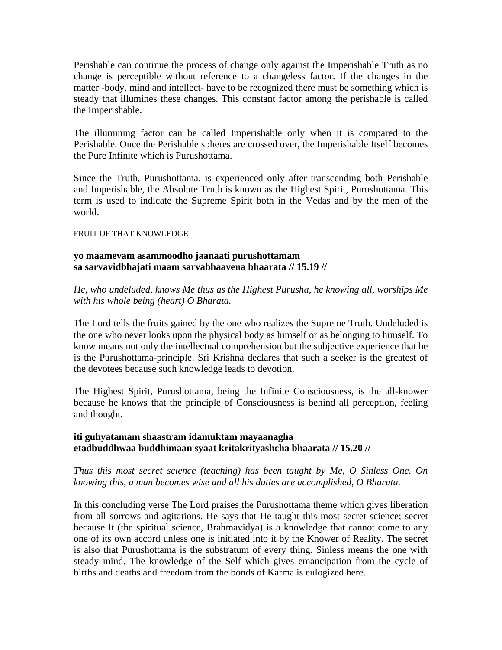Perishable can continue the process of change only against the Imperishable Truth as no change is perceptible without reference to a changeless factor. If the changes in the matter -body, mind and intellect- have to be recognized there must be something which is steady that illumines these changes. This constant factor among the perishable is called the Imperishable.

The illumining factor can be called Imperishable only when it is compared to the Perishable. Once the Perishable spheres are crossed over, the Imperishable Itself becomes the Pure Infinite which is Purushottama.

Since the Truth, Purushottama, is experienced only after transcending both Perishable and Imperishable, the Absolute Truth is known as the Highest Spirit, Purushottama. This term is used to indicate the Supreme Spirit both in the Vedas and by the men of the world.

#### FRUIT OF THAT KNOWLEDGE

#### **yo maamevam asammoodho jaanaati purushottamam sa sarvavidbhajati maam sarvabhaavena bhaarata // 15.19 //**

*He, who undeluded, knows Me thus as the Highest Purusha, he knowing all, worships Me with his whole being (heart) O Bharata.* 

The Lord tells the fruits gained by the one who realizes the Supreme Truth. Undeluded is the one who never looks upon the physical body as himself or as belonging to himself. To know means not only the intellectual comprehension but the subjective experience that he is the Purushottama-principle. Sri Krishna declares that such a seeker is the greatest of the devotees because such knowledge leads to devotion.

The Highest Spirit, Purushottama, being the Infinite Consciousness, is the all-knower because he knows that the principle of Consciousness is behind all perception, feeling and thought.

#### **iti guhyatamam shaastram idamuktam mayaanagha etadbuddhwaa buddhimaan syaat kritakrityashcha bhaarata // 15.20 //**

#### *Thus this most secret science (teaching) has been taught by Me, O Sinless One. On knowing this, a man becomes wise and all his duties are accomplished, O Bharata.*

In this concluding verse The Lord praises the Purushottama theme which gives liberation from all sorrows and agitations. He says that He taught this most secret science; secret because It (the spiritual science, Brahmavidya) is a knowledge that cannot come to any one of its own accord unless one is initiated into it by the Knower of Reality. The secret is also that Purushottama is the substratum of every thing. Sinless means the one with steady mind. The knowledge of the Self which gives emancipation from the cycle of births and deaths and freedom from the bonds of Karma is eulogized here.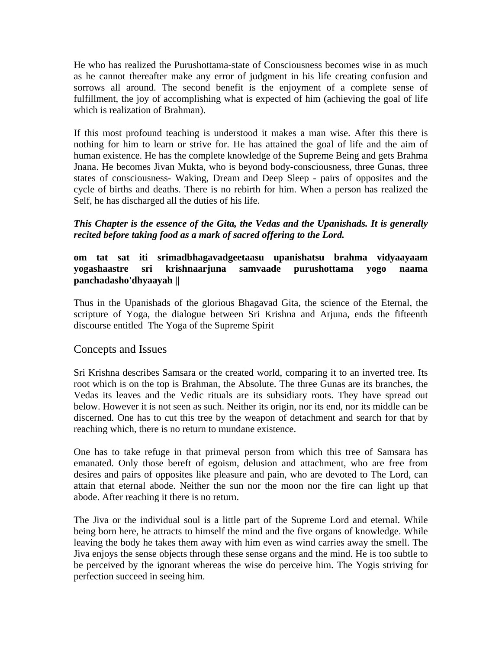He who has realized the Purushottama-state of Consciousness becomes wise in as much as he cannot thereafter make any error of judgment in his life creating confusion and sorrows all around. The second benefit is the enjoyment of a complete sense of fulfillment, the joy of accomplishing what is expected of him (achieving the goal of life which is realization of Brahman).

If this most profound teaching is understood it makes a man wise. After this there is nothing for him to learn or strive for. He has attained the goal of life and the aim of human existence. He has the complete knowledge of the Supreme Being and gets Brahma Jnana. He becomes Jivan Mukta, who is beyond body-consciousness, three Gunas, three states of consciousness- Waking, Dream and Deep Sleep - pairs of opposites and the cycle of births and deaths. There is no rebirth for him. When a person has realized the Self, he has discharged all the duties of his life.

#### *This Chapter is the essence of the Gita, the Vedas and the Upanishads. It is generally recited before taking food as a mark of sacred offering to the Lord.*

#### **om tat sat iti srimadbhagavadgeetaasu upanishatsu brahma vidyaayaam yogashaastre sri krishnaarjuna samvaade purushottama yogo naama panchadasho'dhyaayah ||**

Thus in the Upanishads of the glorious Bhagavad Gita, the science of the Eternal, the scripture of Yoga, the dialogue between Sri Krishna and Arjuna, ends the fifteenth discourse entitled The Yoga of the Supreme Spirit

#### Concepts and Issues

Sri Krishna describes Samsara or the created world, comparing it to an inverted tree. Its root which is on the top is Brahman, the Absolute. The three Gunas are its branches, the Vedas its leaves and the Vedic rituals are its subsidiary roots. They have spread out below. However it is not seen as such. Neither its origin, nor its end, nor its middle can be discerned. One has to cut this tree by the weapon of detachment and search for that by reaching which, there is no return to mundane existence.

One has to take refuge in that primeval person from which this tree of Samsara has emanated. Only those bereft of egoism, delusion and attachment, who are free from desires and pairs of opposites like pleasure and pain, who are devoted to The Lord, can attain that eternal abode. Neither the sun nor the moon nor the fire can light up that abode. After reaching it there is no return.

The Jiva or the individual soul is a little part of the Supreme Lord and eternal. While being born here, he attracts to himself the mind and the five organs of knowledge. While leaving the body he takes them away with him even as wind carries away the smell. The Jiva enjoys the sense objects through these sense organs and the mind. He is too subtle to be perceived by the ignorant whereas the wise do perceive him. The Yogis striving for perfection succeed in seeing him.